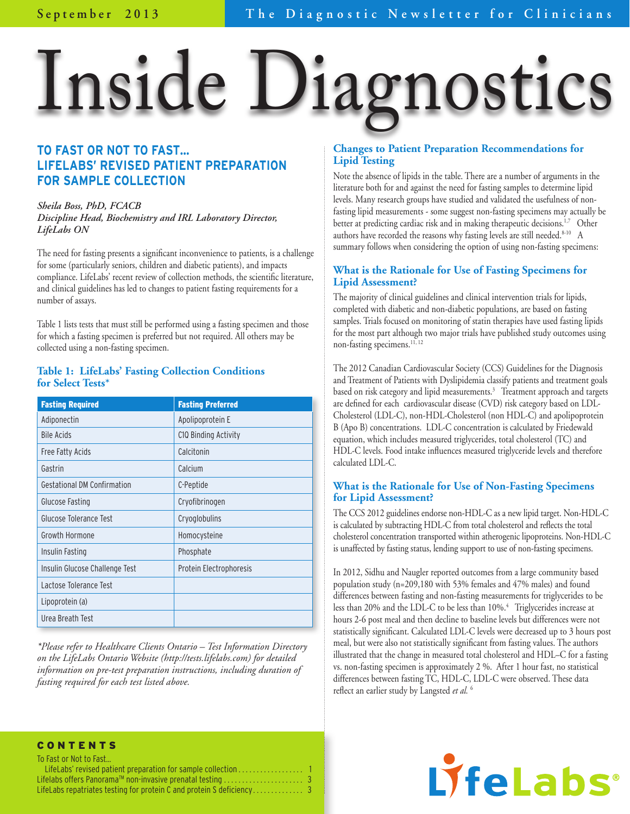# Inside Diagnostics

# **TO FAST OR NOT TO FAST… LIFELABS' REVISED PATIENT PREPARATION FOR SAMPLE COLLECTION**

#### *Sheila Boss, PhD, FCACB Discipline Head, Biochemistry and IRL Laboratory Director, LifeLabs ON*

The need for fasting presents a significant inconvenience to patients, is a challenge for some (particularly seniors, children and diabetic patients), and impacts compliance. LifeLabs' recent review of collection methods, the scientific literature, and clinical guidelines has led to changes to patient fasting requirements for a number of assays.

Table 1 lists tests that must still be performed using a fasting specimen and those for which a fasting specimen is preferred but not required. All others may be collected using a non-fasting specimen.

#### **Table 1: LifeLabs' Fasting Collection Conditions for Select Tests\***

| <b>Fasting Required</b>            | <b>Fasting Preferred</b>         |
|------------------------------------|----------------------------------|
| Adiponectin                        | Apolipoprotein E                 |
| <b>Bile Acids</b>                  | C <sub>10</sub> Binding Activity |
| Free Fatty Acids                   | Calcitonin                       |
| Gastrin                            | Calcium                          |
| <b>Gestational DM Confirmation</b> | C-Peptide                        |
| Glucose Fasting                    | Cryofibrinogen                   |
| Glucose Tolerance Test             | Cryoglobulins                    |
| Growth Hormone                     | Homocysteine                     |
| Insulin Fasting                    | Phosphate                        |
| Insulin Glucose Challenge Test     | Protein Electrophoresis          |
| Lactose Tolerance Test             |                                  |
| Lipoprotein (a)                    |                                  |
| Urea Breath Test                   |                                  |

*\*Please refer to Healthcare Clients Ontario – Test Information Directory on the LifeLabs Ontario Website (http://tests.lifelabs.com) for detailed information on pre-test preparation instructions, including duration of fasting required for each test listed above.*

#### **Changes to Patient Preparation Recommendations for Lipid Testing**

Note the absence of lipids in the table. There are a number of arguments in the literature both for and against the need for fasting samples to determine lipid levels. Many research groups have studied and validated the usefulness of nonfasting lipid measurements - some suggest non-fasting specimens may actually be better at predicting cardiac risk and in making therapeutic decisions.<sup>1,7</sup> Other authors have recorded the reasons why fasting levels are still needed.<sup>8-10</sup> A summary follows when considering the option of using non-fasting specimens:

#### **What is the Rationale for Use of Fasting Specimens for Lipid Assessment?**

The majority of clinical guidelines and clinical intervention trials for lipids, completed with diabetic and non-diabetic populations, are based on fasting samples. Trials focused on monitoring of statin therapies have used fasting lipids for the most part although two major trials have published study outcomes using non-fasting specimens.<sup>11, 12</sup>

The 2012 Canadian Cardiovascular Society (CCS) Guidelines for the Diagnosis and Treatment of Patients with Dyslipidemia classify patients and treatment goals based on risk category and lipid measurements.<sup>3</sup> Treatment approach and targets are defined for each cardiovascular disease (CVD) risk category based on LDL-Cholesterol (LDL-C), non-HDL-Cholesterol (non HDL-C) and apolipoprotein B (Apo B) concentrations. LDL-C concentration is calculated by Friedewald equation, which includes measured triglycerides, total cholesterol (TC) and HDL-C levels. Food intake influences measured triglyceride levels and therefore calculated LDL-C.

# **What is the Rationale for Use of Non-Fasting Specimens for Lipid Assessment?**

The CCS 2012 guidelines endorse non-HDL-C as a new lipid target. Non-HDL-C is calculated by subtracting HDL-C from total cholesterol and reflects the total cholesterol concentration transported within atherogenic lipoproteins. Non-HDL-C is unaffected by fasting status, lending support to use of non-fasting specimens.

In 2012, Sidhu and Naugler reported outcomes from a large community based population study (n=209,180 with 53% females and 47% males) and found differences between fasting and non-fasting measurements for triglycerides to be less than 20% and the LDL-C to be less than  $10\%$ . $^4$  Triglycerides increase at hours 2-6 post meal and then decline to baseline levels but differences were not statistically significant. Calculated LDL-C levels were decreased up to 3 hours post meal, but were also not statistically significant from fasting values. The authors illustrated that the change in measured total cholesterol and HDL–C for a fasting vs. non-fasting specimen is approximately 2 %. After 1 hour fast, no statistical differences between fasting TC, HDL-C, LDL-C were observed. These data reflect an earlier study by Langsted *et al.* <sup>6</sup>

# LyfeLabs®

#### CONTENTS

| To Fast or Not to Fast |  |
|------------------------|--|
|                        |  |
|                        |  |
|                        |  |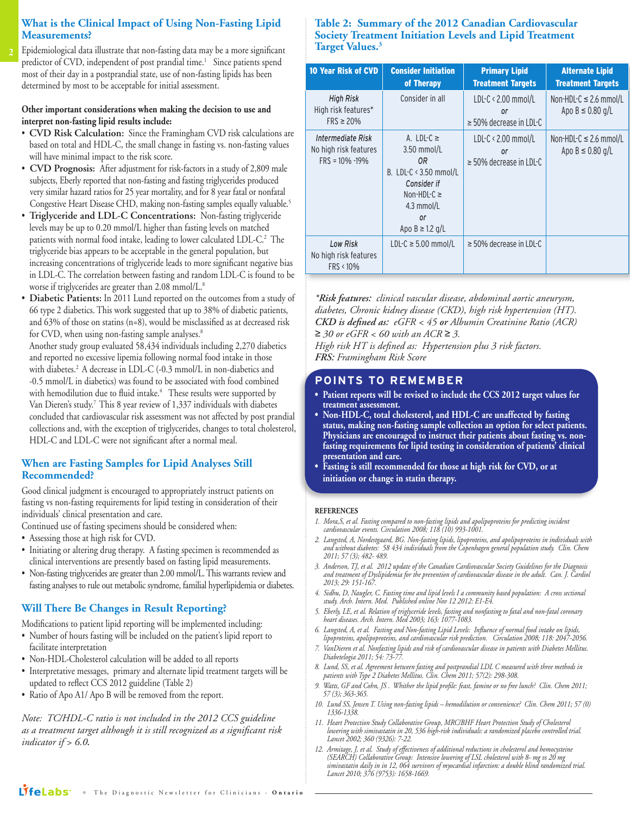# **What is the Clinical Impact of Using Non-Fasting Lipid Measurements?**

Epidemiological data illustrate that non-fasting data may be a more significant predictor of CVD, independent of post prandial time.<sup>1</sup> Since patients spend most of their day in a postprandial state, use of non-fasting lipids has been determined by most to be acceptable for initial assessment.

**2**

#### **Other important considerations when making the decision to use and interpret non-fasting lipid results include:**

- **CVD Risk Calculation:** Since the Framingham CVD risk calculations are based on total and HDL-C, the small change in fasting vs. non-fasting values will have minimal impact to the risk score.
- **CVD Prognosis:** After adjustment for risk-factors in a study of 2,809 male subjects, Eberly reported that non-fasting and fasting triglycerides produced very similar hazard ratios for 25 year mortality, and for 8 year fatal or nonfatal Congestive Heart Disease CHD, making non-fasting samples equally valuable.5
- **Triglyceride and LDL-C Concentrations:** Non-fasting triglyceride levels may be up to 0.20 mmol/L higher than fasting levels on matched patients with normal food intake, leading to lower calculated LDL-C.2 The triglyceride bias appears to be acceptable in the general population, but increasing concentrations of triglyceride leads to more significant negative bias in LDL-C. The correlation between fasting and random LDL-C is found to be worse if triglycerides are greater than 2.08 mmol/L.8
- **Diabetic Patients:** In 2011 Lund reported on the outcomes from a study of 66 type 2 diabetics. This work suggested that up to 38% of diabetic patients, and 63% of those on statins (n=8), would be misclassified as at decreased risk for CVD, when using non-fasting sample analyses.<sup>8</sup>

Another study group evaluated 58,434 individuals including 2,270 diabetics and reported no excessive lipemia following normal food intake in those with diabetes.<sup>2</sup> A decrease in LDL-C (-0.3 mmol/L in non-diabetics and -0.5 mmol/L in diabetics) was found to be associated with food combined with hemodilution due to fluid intake.4 These results were supported by Van Dieren's study.7 This 8 year review of 1,337 individuals with diabetes concluded that cardiovascular risk assessment was not affected by post prandial collections and, with the exception of triglycerides, changes to total cholesterol, HDL-C and LDL-C were not significant after a normal meal.

#### **When are Fasting Samples for Lipid Analyses Still Recommended?**

Good clinical judgment is encouraged to appropriately instruct patients on fasting vs non-fasting requirements for lipid testing in consideration of their individuals' clinical presentation and care.

- Continued use of fasting specimens should be considered when:
- Assessing those at high risk for CVD.
- Initiating or altering drug therapy. A fasting specimen is recommended as clinical interventions are presently based on fasting lipid measurements.
- Non-fasting triglycerides are greater than 2.00 mmol/L. This warrants review and fasting analyses to rule out metabolic syndrome, familial hyperlipidemia or diabetes.

# **Will There Be Changes in Result Reporting?**

Modifications to patient lipid reporting will be implemented including:

- Number of hours fasting will be included on the patient's lipid report to facilitate interpretation
- Non-HDL-Cholesterol calculation will be added to all reports
- Interpretative messages, primary and alternate lipid treatment targets will be updated to reflect CCS 2012 guideline (Table 2)
- Ratio of Apo A1/ Apo B will be removed from the report.

*Note: TC/HDL-C ratio is not included in the 2012 CCS guideline as a treatment target although it is still recognized as a significant risk indicator if > 6.0.* 

#### **Table 2: Summary of the 2012 Canadian Cardiovascular Society Treatment Initiation Levels and Lipid Treatment Target Values.3**

| <b>10 Year Risk of CVD</b>                                        | <b>Consider Initiation</b><br>of Therapy                                                                                                             | <b>Primary Lipid</b><br><b>Treatment Targets</b>                       | <b>Alternate Lipid</b><br><b>Treatment Targets</b>  |
|-------------------------------------------------------------------|------------------------------------------------------------------------------------------------------------------------------------------------------|------------------------------------------------------------------------|-----------------------------------------------------|
| <b>High Risk</b><br>High risk features*<br>$FRS \geq 20\%$        | Consider in all                                                                                                                                      | $LDL-C < 2.00$ mmol/L<br><sub>or</sub><br>$\geq$ 50% decrease in LDL-C | Non-HDL-C $\leq$ 2.6 mmol/L<br>Apo $B \le 0.80$ g/L |
| Intermediate Risk<br>No high risk features<br>$FRS = 10\% - 19\%$ | A. LDL-C $\ge$<br>$3.50$ mmol/L<br>0R<br>B. LDL-C $\leq$ 3.50 mmol/L<br>Consider if<br>Non-HDL-C $\geq$<br>$4.3$ mmol/L<br>or<br>Apo $B \ge 1.2$ g/L | $LDL-C < 2.00$ mmol/L<br><b>or</b><br>$\geq$ 50% decrease in LDL-C     | Non-HDL-C $\leq$ 2.6 mmol/L<br>Apo $B \le 0.80$ g/L |
| Low Risk<br>No high risk features<br>FRS < 10%                    | $LDL-C \geq 5.00$ mmol/L                                                                                                                             | $\geq$ 50% decrease in LDL-C                                           |                                                     |

*\*Risk features: clinical vascular disease, abdominal aortic aneurysm, diabetes, Chronic kidney disease (CKD), high risk hypertension (HT). CKD is defined as: eGFR < 45 or Albumin Creatinine Ratio (ACR) ≥ 30 or eGFR < 60 with an ACR ≥ 3.* 

*High risk HT is defined as: Hypertension plus 3 risk factors. FRS: Framingham Risk Score*

# **Points to Remember**

- **Patient reports will be revised to include the CCS 2012 target values for treatment assessment.**
- **Non-HDL-C, total cholesterol, and HDL-C are unaffected by fasting status, making non-fasting sample collection an option for select patients. Physicians are encouraged to instruct their patients about fasting vs. nonfasting requirements for lipid testing in consideration of patients' clinical presentation and care.**
- **Fasting is still recommended for those at high risk for CVD, or at initiation or change in statin therapy.**

#### **References**

- *1. Mora,S, et al. Fasting compared to non-fasting lipids and apolipoproteins for predicting incident cardiovascular events. Circulation 2008; 118 (10) 993-1001.*
- *2. Langsted, A, Nordestgaard, BG. Non-fasting lipids, lipoproteins, and apolipoproteins in individuals with and without diabetes: 58 434 individuals from the Copenhagen general population study. Clin. Chem 2011; 57 (3); 482- 489.*
- *3. Anderson, TJ, et al. 2012 update of the Canadian Cardiovascular Society Guidelines for the Diagnosis and treatment of Dyslipidemia for the prevention of cardiovascular disease in the adult. Can. J. Cardiol 2013; 29: 151-167.*
- *4. Sidhu, D, Naugler, C. Fasting time and lipid levels I a community based population: A cross sectional study. Arch. Intern. Med. Published online Nov 12 2012: E1-E4.*
- *5. Eberly, LE, et al. Relation of triglyceride levels, fasting and nonfasting to fatal and non-fatal coronary heart diseases. Arch. Intern. Med 2003; 163: 1077-1083.*
- *6. Langsted, A, et al. Fasting and Non-fasting Lipid Levels: Influence of normal food intake on lipids, lipoproteins, apolipoproteins, and cardiovascular risk prediction. Circulation 2008; 118: 2047-2056.*
- *7. VanDieren et al. Nonfasting lipids and risk of cardiovascular disease in patients with Diabetes Mellitus. Diabetelogia 2011; 54: 73-77.*
- *8. Lund, SS, et al. Agreement between fasting and postprandial LDL C measured with three methods in patients with Type 2 Diabetes Mellitus. Clin. Chem 2011; 57(2): 298-308.*
- *9. Watts, GF and Cohn, JS . Whither the lipid profile: feast, famine or no free lunch? Clin. Chem 2011; 57 (3); 363-365.*
- *10. Lund SS, Jensen T. Using non-fasting lipids hemodilution or convenience? Clin. Chem 2011; 57 (0) 1336-1338.*
- *11. Heart Protection Study Collaborative Group, MRC/BHF Heart Protection Study of Cholesterol lowering with simivastatin in 20, 536 high-risk individuals: a randomized placebo controlled trial. Lancet 2002; 360 (9326): 7-22.*
- *12. Armitage, J, et al. Study of effectiveness of additional reductions in cholesterol and homocysteine (SEARCH) Collaborative Group: Intensive lowering of LSL cholesterol with 8- mg vs 20 mg simivastatin daily in in 12, 064 survivors of myocardial infarction: a double blind randomized trial. Lancet 2010; 376 (9753): 1658-1669.*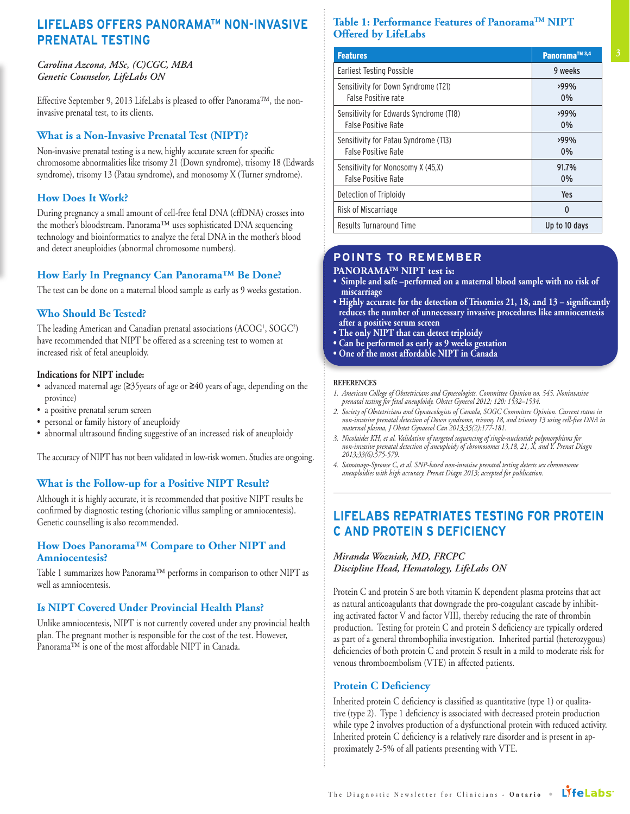# **LIFELABS OFFERS PANORAMATM NON-INVASIVE PRENATAL TESTING**

#### *Carolina Azcona, MSc, (C)CGC, MBA Genetic Counselor, LifeLabs ON*

Effective September 9, 2013 LifeLabs is pleased to offer Panorama™, the noninvasive prenatal test, to its clients.

# **What is a Non-Invasive Prenatal Test (NIPT)?**

Non-invasive prenatal testing is a new, highly accurate screen for specific chromosome abnormalities like trisomy 21 (Down syndrome), trisomy 18 (Edwards syndrome), trisomy 13 (Patau syndrome), and monosomy X (Turner syndrome).

# **How Does It Work?**

During pregnancy a small amount of cell-free fetal DNA (cffDNA) crosses into the mother's bloodstream. Panorama™ uses sophisticated DNA sequencing technology and bioinformatics to analyze the fetal DNA in the mother's blood and detect aneuploidies (abnormal chromosome numbers).

# **How Early In Pregnancy Can Panorama™ Be Done?**

The test can be done on a maternal blood sample as early as 9 weeks gestation.

# **Who Should Be Tested?**

The leading American and Canadian prenatal associations (ACOG!,  $\mathrm{SOGC}^2$ ) have recommended that NIPT be offered as a screening test to women at increased risk of fetal aneuploidy.

#### **Indications for NIPT include:**

- advanced maternal age (≥35years of age or ≥40 years of age, depending on the province)
- a positive prenatal serum screen
- personal or family history of aneuploidy
- abnormal ultrasound finding suggestive of an increased risk of aneuploidy

The accuracy of NIPT has not been validated in low-risk women. Studies are ongoing.

# **What is the Follow-up for a Positive NIPT Result?**

Although it is highly accurate, it is recommended that positive NIPT results be confirmed by diagnostic testing (chorionic villus sampling or amniocentesis). Genetic counselling is also recommended.

#### **How Does Panorama™ Compare to Other NIPT and Amniocentesis?**

Table 1 summarizes how Panorama™ performs in comparison to other NIPT as well as amniocentesis.

# **Is NIPT Covered Under Provincial Health Plans?**

Unlike amniocentesis, NIPT is not currently covered under any provincial health plan. The pregnant mother is responsible for the cost of the test. However, Panorama™ is one of the most affordable NIPT in Canada.

# **Table 1: Performance Features of PanoramaTM NIPT Offered by LifeLabs**

| <b>Features</b>                                                      | Panorama™ 3,4  |
|----------------------------------------------------------------------|----------------|
| Earliest Testing Possible                                            | 9 weeks        |
| Sensitivity for Down Syndrome (T21)<br>False Positive rate           | >99%<br>0%     |
| Sensitivity for Edwards Syndrome (T18)<br><b>False Positive Rate</b> | >99%<br>$0\%$  |
| Sensitivity for Patau Syndrome (T13)<br><b>False Positive Rate</b>   | >99%<br>0%     |
| Sensitivity for Monosomy X (45,X)<br><b>False Positive Rate</b>      | 91.7%<br>$0\%$ |
| Detection of Triploidy                                               | Yes            |
| Risk of Miscarriage                                                  | 0              |
| Results Turnaround Time                                              | Up to 10 days  |

# **Points to Remember**

**PanoramATM NIPT test is:** 

- **Simple and safe –performed on a maternal blood sample with no risk of miscarriage**
- **Highly accurate for the detection of Trisomies 21, 18, and 13 significantly reduces the number of unnecessary invasive procedures like amniocentesis after a positive serum screen**
- **The only NIPT that can detect triploidy**
- **Can be performed as early as 9 weeks gestation**
- **One of the most affordable NIPT in Canada**

#### **References**

- *1. American College of Obstetricians and Gynecologists. Committee Opinion no. 545. Noninvasive prenatal testing for fetal aneuploidy. Obstet Gynecol 2012; 120: 1532–1534.*
- *2. Society of Obstetricians and Gynaecologists of Canada, SOGC Committee Opinion. Current status in non-invasive prenatal detection of Down syndrome, trisomy 18, and trisomy 13 using cell-free DNA in maternal plasma, J Obstet Gynaecol Can 2013;35(2):177-181.*
- *3. Nicolaides KH, et al. Validation of targeted sequencing of single-nucleotide polymorphisms for non-invasive prenatal detection of aneuploidy of chromosomes 13,18, 21, X, and Y. Prenat Diagn 2013;33(6):575-579.*
- *4. Samanago-Sprouse C, et al. SNP-based non-invasive prenatal testing detects sex chromosome aneuploidies with high accuracy. Prenat Diagn 2013; accepted for publication.*

# **LIFELABS REPATRIATES TESTING FOR PROTEIN C AND PROTEIN S DEFICIENCY**

#### *Miranda Wozniak, MD, FRCPC Discipline Head, Hematology, LifeLabs ON*

Protein C and protein S are both vitamin K dependent plasma proteins that act as natural anticoagulants that downgrade the pro-coagulant cascade by inhibiting activated factor V and factor VIII, thereby reducing the rate of thrombin production. Testing for protein C and protein S deficiency are typically ordered as part of a general thrombophilia investigation. Inherited partial (heterozygous) deficiencies of both protein C and protein S result in a mild to moderate risk for venous thromboembolism (VTE) in affected patients.

#### **Protein C Deficiency**

Inherited protein C deficiency is classified as quantitative (type 1) or qualitative (type 2). Type 1 deficiency is associated with decreased protein production while type 2 involves production of a dysfunctional protein with reduced activity. Inherited protein C deficiency is a relatively rare disorder and is present in approximately 2-5% of all patients presenting with VTE.